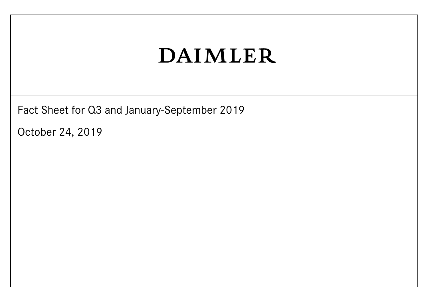Fact Sheet for Q3 and January-September 2019

October 24, 2019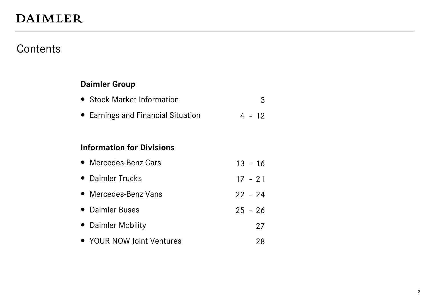#### **Contents**

#### **Daimler Group**

|  | • Stock Market Information |  |
|--|----------------------------|--|
|--|----------------------------|--|

• Earnings and Financial Situation 4 - 12

#### **Information for Divisions**

| • Mercedes-Benz Cars | $13 - 16$ |  |
|----------------------|-----------|--|
|----------------------|-----------|--|

- Daimler Trucks 17 21
- Mercedes-Benz Vans 22 24
- Daimler Buses 25 26
- Daimler Mobility 27
- YOUR NOW Joint Ventures 28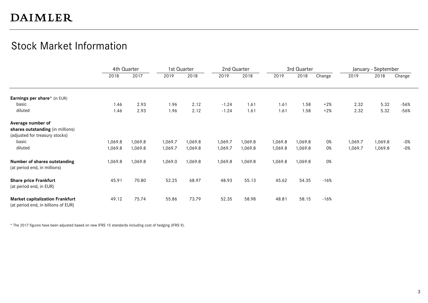#### Stock Market Information

|                                                         |         | 4th Quarter |         | 1st Quarter |         | 2nd Quarter |         | 3rd Quarter |        |         | January - September |        |
|---------------------------------------------------------|---------|-------------|---------|-------------|---------|-------------|---------|-------------|--------|---------|---------------------|--------|
|                                                         | 2018    | 2017        | 2019    | 2018        | 2019    | 2018        | 2019    | 2018        | Change | 2019    | 2018                | Change |
|                                                         |         |             |         |             |         |             |         |             |        |         |                     |        |
| Earnings per share* (in EUR)                            |         |             |         |             |         |             |         |             |        |         |                     |        |
| basic                                                   | 1.46    | 2.93        | 1.96    | 2.12        | $-1.24$ | 1.61        | 1.61    | 1.58        | $+2%$  | 2.32    | 5.32                | $-56%$ |
| diluted                                                 | 1.46    | 2.93        | 1.96    | 2.12        | $-1.24$ | 1.61        | 1.61    | 1.58        | $+2%$  | 2.32    | 5.32                | $-56%$ |
| Average number of                                       |         |             |         |             |         |             |         |             |        |         |                     |        |
| shares outstanding (in millions)                        |         |             |         |             |         |             |         |             |        |         |                     |        |
| (adjusted for treasury stocks)                          |         |             |         |             |         |             |         |             |        |         |                     |        |
| basic                                                   | 1,069.8 | 1,069.8     | 1,069.7 | 1,069.8     | 1,069.7 | 1,069.8     | 1,069.8 | 1,069.8     | 0%     | 1,069.7 | 1,069.8             | $-0\%$ |
|                                                         |         |             |         |             |         |             |         |             |        |         |                     |        |
| diluted                                                 | 1,069.8 | 1,069.8     | 1,069.7 | 1,069.8     | 1,069.7 | 1,069.8     | 1,069.8 | 1,069.8     | 0%     | 1,069.7 | 1,069.8             | $-0\%$ |
| Number of shares outstanding                            | 1,069.8 | 1,069.8     | 1,069.0 | 1,069.8     | 1,069.8 | 1,069.8     | 1,069.8 | 1,069.8     | 0%     |         |                     |        |
| (at period end, in millions)                            |         |             |         |             |         |             |         |             |        |         |                     |        |
|                                                         | 45.91   | 70.80       | 52.25   | 68.97       | 48.93   | 55.13       | 45.62   | 54.35       | $-16%$ |         |                     |        |
| <b>Share price Frankfurt</b><br>(at period end, in EUR) |         |             |         |             |         |             |         |             |        |         |                     |        |
| <b>Market capitalization Frankfurt</b>                  | 49.12   | 75.74       | 55.86   | 73.79       | 52.35   | 58.98       | 48.81   | 58.15       | $-16%$ |         |                     |        |
| (at period end, in billions of EUR)                     |         |             |         |             |         |             |         |             |        |         |                     |        |

\* The 2017 figures have been adjusted based on new IFRS 15 standards including cost of hedging (IFRS 9).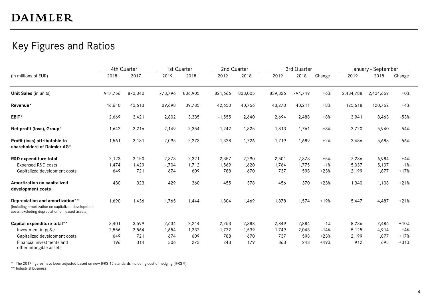#### Key Figures and Ratios

|                                                                                                                                          |         | 4th Quarter |         | 1st Quarter |          | 2nd Quarter |         | 3rd Quarter |        |           | January - September |        |
|------------------------------------------------------------------------------------------------------------------------------------------|---------|-------------|---------|-------------|----------|-------------|---------|-------------|--------|-----------|---------------------|--------|
| (in millions of EUR)                                                                                                                     | 2018    | 2017        | 2019    | 2018        | 2019     | 2018        | 2019    | 2018        | Change | 2019      | 2018                | Change |
| Unit Sales (in units)                                                                                                                    | 917,756 | 873,040     | 773,796 | 806,905     | 821,666  | 833,005     | 839,326 | 794,749     | $+6%$  | 2,434,788 | 2,434,659           | $+0\%$ |
| Revenue*                                                                                                                                 | 46,610  | 43,613      | 39,698  | 39,785      | 42,650   | 40,756      | 43,270  | 40,211      | $+8%$  | 125,618   | 120,752             | $+4%$  |
| EBIT*                                                                                                                                    | 2,669   | 3,421       | 2,802   | 3,335       | $-1,555$ | 2,640       | 2,694   | 2,488       | $+8%$  | 3,941     | 8,463               | $-53%$ |
| Net profit (loss), Group*                                                                                                                | 1,642   | 3,216       | 2,149   | 2,354       | $-1,242$ | 1,825       | 1,813   | 1,761       | $+3%$  | 2,720     | 5,940               | $-54%$ |
| Profit (loss) attributable to<br>shareholders of Daimler AG*                                                                             | 1,561   | 3,131       | 2,095   | 2,273       | $-1,328$ | 1,726       | 1,719   | 1,689       | $+2%$  | 2,486     | 5,688               | $-56%$ |
| R&D expenditure total                                                                                                                    | 2,123   | 2,150       | 2,378   | 2,321       | 2,357    | 2,290       | 2,501   | 2,373       | $+5%$  | 7,236     | 6,984               | $+4%$  |
| <b>Expensed R&amp;D costs</b>                                                                                                            | 1,474   | 1,429       | 1,704   | 1,712       | 1,569    | 1,620       | 1,764   | 1,775       | $-1%$  | 5,037     | 5,107               | $-1%$  |
| Capitalized development costs                                                                                                            | 649     | 721         | 674     | 609         | 788      | 670         | 737     | 598         | $+23%$ | 2,199     | 1,877               | $+17%$ |
| Amortization on capitalized<br>development costs                                                                                         | 430     | 323         | 429     | 360         | 455      | 378         | 456     | 370         | $+23%$ | 1,340     | 1,108               | $+21%$ |
| Depreciation and amortization**<br>(including amortization on capitalized development<br>costs, excluding depreciation on leased assets) | 1,690   | 1,436       | 1,765   | 1,444       | 1,804    | 1,469       | 1,878   | 1,574       | $+19%$ | 5,447     | 4,487               | $+21%$ |
| Capital expenditure total**                                                                                                              | 3,401   | 3,599       | 2,634   | 2,214       | 2,753    | 2,388       | 2,849   | 2,884       | $-1%$  | 8,236     | 7,486               | $+10%$ |
| Investment in pp&e                                                                                                                       | 2,556   | 2,564       | 1,654   | 1,332       | 1,722    | 1,539       | 1,749   | 2,043       | $-14%$ | 5,125     | 4,914               | $+4%$  |
| Capitalized development costs                                                                                                            | 649     | 721         | 674     | 609         | 788      | 670         | 737     | 598         | $+23%$ | 2,199     | 1,877               | $+17%$ |
| Financial investments and<br>other intangible assets                                                                                     | 196     | 314         | 306     | 273         | 243      | 179         | 363     | 243         | $+49%$ | 912       | 695                 | $+31%$ |

\* The 2017 figures have been adjusted based on new IFRS 15 standards including cost of hedging (IFRS 9).

\*\* Industrial business.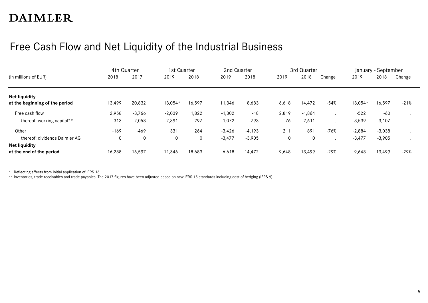#### Free Cash Flow and Net Liquidity of the Industrial Business

|                                                        | 4th Quarter |          | 1st Quarter |        | 2nd Quarter |          |       | 3rd Quarter |        |          | January - September |        |
|--------------------------------------------------------|-------------|----------|-------------|--------|-------------|----------|-------|-------------|--------|----------|---------------------|--------|
| (in millions of EUR)                                   | 2018        | 2017     | 2019        | 2018   | 2019        | 2018     | 2019  | 2018        | Change | 2019     | 2018                | Change |
| <b>Net liquidity</b><br>at the beginning of the period | 13,499      | 20,832   | 13,054*     | 16,597 | 11,346      | 18,683   | 6,618 | 14,472      | $-54%$ | 13,054*  | 16,597              | $-21%$ |
| Free cash flow                                         | 2,958       | $-3,766$ | $-2,039$    | 1,822  | $-1,302$    | $-18$    | 2,819 | $-1,864$    |        | $-522$   | $-60$               |        |
| thereof: working capital**                             | 313         | $-2,058$ | $-2,391$    | 297    | $-1,072$    | $-793$   | -76   | $-2,611$    |        | $-3,539$ | $-3,107$            |        |
| Other                                                  | $-169$      | $-469$   | 331         | 264    | $-3,426$    | $-4,193$ | 211   | 891         | $-76%$ | $-2,884$ | $-3,038$            |        |
| thereof: dividends Daimler AG                          | 0           | 0        | 0           | 0      | $-3,477$    | $-3,905$ | 0     | 0           |        | $-3,477$ | $-3,905$            |        |
| <b>Net liquidity</b>                                   |             |          |             |        |             |          |       |             |        |          |                     |        |
| at the end of the period                               | 16,288      | 16,597   | 11,346      | 18,683 | 6,618       | 14,472   | 9,648 | 13,499      | $-29%$ | 9,648    | 13,499              | $-29%$ |

\* Reflecting effects from initial application of IFRS 16.

\*\* Inventories, trade receivables and trade payables. The 2017 figures have been adjusted based on new IFRS 15 standards including cost of hedging (IFRS 9).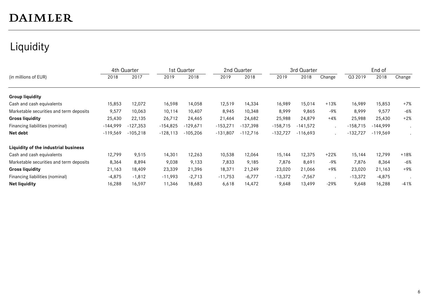#### Liquidity

|                                         |            | 4th Quarter |            | 1st Quarter |            | 2nd Quarter |            | 3rd Quarter |         |            | End of     |        |
|-----------------------------------------|------------|-------------|------------|-------------|------------|-------------|------------|-------------|---------|------------|------------|--------|
| (in millions of EUR)                    | 2018       | 2017        | 2019       | 2018        | 2019       | 2018        | 2019       | 2018        | Change  | Q3 2019    | 2018       | Change |
|                                         |            |             |            |             |            |             |            |             |         |            |            |        |
| <b>Group liquidity</b>                  |            |             |            |             |            |             |            |             |         |            |            |        |
| Cash and cash equivalents               | 15,853     | 12,072      | 16,598     | 14,058      | 12,519     | 14,334      | 16,989     | 15,014      | $+13%$  | 16,989     | 15,853     | $+7%$  |
| Marketable securities and term deposits | 9,577      | 10,063      | 10,114     | 10,407      | 8,945      | 10,348      | 8,999      | 9,865       | $-9%$   | 8,999      | 9,577      | $-6%$  |
| <b>Gross liquidity</b>                  | 25,430     | 22,135      | 26,712     | 24,465      | 21,464     | 24,682      | 25,988     | 24,879      | $+4%$   | 25,988     | 25,430     | $+2%$  |
| Financing liabilities (nominal)         | $-144,999$ | $-127,353$  | $-154,825$ | $-129.671$  | $-153,271$ | $-137,398$  | $-158,715$ | $-141,572$  | $\cdot$ | $-158,715$ | -144,999   |        |
| Net debt                                | $-119,569$ | $-105,218$  | $-128,113$ | $-105,206$  | $-131,807$ | $-112,716$  | $-132,727$ | $-116,693$  | $\cdot$ | $-132,727$ | $-119,569$ |        |
| Liquidity of the industrial business    |            |             |            |             |            |             |            |             |         |            |            |        |
| Cash and cash equivalents               | 12,799     | 9,515       | 14,301     | 12,263      | 10,538     | 12,064      | 15,144     | 12,375      | $+22%$  | 15,144     | 12,799     | $+18%$ |
| Marketable securities and term deposits | 8,364      | 8,894       | 9,038      | 9,133       | 7,833      | 9,185       | 7,876      | 8,691       | $-9%$   | 7,876      | 8,364      | $-6%$  |
| <b>Gross liquidity</b>                  | 21,163     | 18,409      | 23,339     | 21,396      | 18,371     | 21,249      | 23,020     | 21,066      | $+9%$   | 23,020     | 21,163     | $+9%$  |
| Financing liabilities (nominal)         | $-4,875$   | $-1,812$    | $-11,993$  | $-2,713$    | $-11,753$  | $-6,777$    | $-13,372$  | $-7,567$    |         | $-13,372$  | $-4,875$   |        |
| <b>Net liquidity</b>                    | 16,288     | 16,597      | 11,346     | 18,683      | 6,618      | 14,472      | 9,648      | 13,499      | $-29%$  | 9,648      | 16,288     | $-41%$ |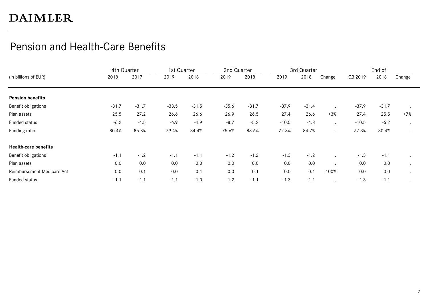#### Pension and Health-Care Benefits

|                             | 4th Quarter |         | 1st Quarter |         | 2nd Quarter |         |         | 3rd Quarter |         |         | End of  |        |
|-----------------------------|-------------|---------|-------------|---------|-------------|---------|---------|-------------|---------|---------|---------|--------|
| (in billions of EUR)        | 2018        | 2017    | 2019        | 2018    | 2019        | 2018    | 2019    | 2018        | Change  | Q3 2019 | 2018    | Change |
|                             |             |         |             |         |             |         |         |             |         |         |         |        |
| <b>Pension benefits</b>     |             |         |             |         |             |         |         |             |         |         |         |        |
| Benefit obligations         | $-31.7$     | $-31.7$ | $-33.5$     | $-31.5$ | $-35.6$     | $-31.7$ | $-37.9$ | $-31.4$     |         | $-37.9$ | $-31.7$ |        |
| Plan assets                 | 25.5        | 27.2    | 26.6        | 26.6    | 26.9        | 26.5    | 27.4    | 26.6        | $+3%$   | 27.4    | 25.5    | $+7%$  |
| Funded status               | $-6.2$      | $-4.5$  | $-6.9$      | $-4.9$  | $-8.7$      | $-5.2$  | $-10.5$ | $-4.8$      |         | $-10.5$ | $-6.2$  |        |
| Funding ratio               | 80.4%       | 85.8%   | 79.4%       | 84.4%   | 75.6%       | 83.6%   | 72.3%   | 84.7%       |         | 72.3%   | 80.4%   |        |
| <b>Health-care benefits</b> |             |         |             |         |             |         |         |             |         |         |         |        |
| Benefit obligations         | $-1.1$      | $-1.2$  | $-1.1$      | $-1.1$  | $-1.2$      | $-1.2$  | $-1.3$  | $-1.2$      |         | $-1.3$  | $-1.1$  |        |
| Plan assets                 | 0.0         | 0.0     | 0.0         | 0.0     | 0.0         | 0.0     | 0.0     | 0.0         |         | 0.0     | 0.0     |        |
| Reimbursement Medicare Act  | 0.0         | 0.1     | 0.0         | 0.1     | 0.0         | 0.1     | 0.0     | 0.1         | $-100%$ | 0.0     | 0.0     |        |
| Funded status               | $-1.1$      | $-1.1$  | $-1.1$      | $-1.0$  | $-1.2$      | $-1.1$  | $-1.3$  | $-1.1$      |         | $-1.3$  | $-1.1$  |        |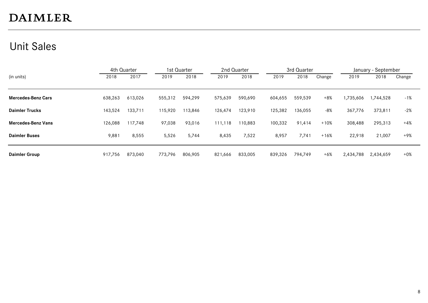#### Unit Sales

|                           | 4th Quarter |         | 1st Quarter |         |         | 2nd Quarter |         | 3rd Quarter |        |           | January - September |        |
|---------------------------|-------------|---------|-------------|---------|---------|-------------|---------|-------------|--------|-----------|---------------------|--------|
| (in units)                | 2018        | 2017    | 2019        | 2018    | 2019    | 2018        | 2019    | 2018        | Change | 2019      | 2018                | Change |
| <b>Mercedes-Benz Cars</b> | 638,263     | 613,026 | 555,312     | 594,299 | 575,639 | 590,690     | 604,655 | 559,539     | $+8%$  | 1,735,606 | 1,744,528           | -1%    |
| <b>Daimler Trucks</b>     | 143,524     | 133,711 | 115,920     | 113,846 | 126,474 | 123,910     | 125,382 | 136,055     | -8%    | 367,776   | 373,811             | -2%    |
| <b>Mercedes-Benz Vans</b> | 126,088     | 117,748 | 97,038      | 93,016  | 111,118 | 110,883     | 100,332 | 91,414      | $+10%$ | 308,488   | 295,313             | $+4%$  |
| <b>Daimler Buses</b>      | 9,881       | 8,555   | 5,526       | 5,744   | 8,435   | 7,522       | 8,957   | 7,741       | $+16%$ | 22,918    | 21,007              | +9%    |
| <b>Daimler Group</b>      | 917,756     | 873,040 | 773,796     | 806,905 | 821,666 | 833,005     | 839,326 | 794,749     | $+6%$  | 2,434,788 | 2,434,659           | $+0\%$ |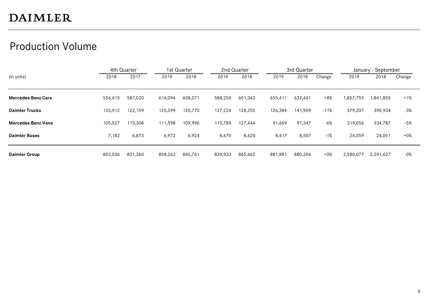#### Production Volume

|                           | 4th Quarter |         | 1st Quarter |         |         | 2nd Quarter |         | 3rd Quarter |        |           | January - September |        |
|---------------------------|-------------|---------|-------------|---------|---------|-------------|---------|-------------|--------|-----------|---------------------|--------|
| (in units)                | 2018        | 2017    | 2019        | 2018    | 2019    | 2018        | 2019    | 2018        | Change | 2019      | 2018                | Change |
|                           |             |         |             |         |         |             |         |             |        |           |                     |        |
| <b>Mercedes-Benz Cars</b> | 556,415     | 587,020 | 614,094     | 608,071 | 588,250 | 601,343     | 655,411 | 632.441     | $+4%$  | 1,857,755 | 1,841,855           | $+1%$  |
| <b>Daimler Trucks</b>     | 133,912     | 122,159 | 125,599     | 120,770 | 127,224 | 128,255     | 126,384 | 141,909     | $-11%$ | 379,207   | 390,934             | -3%    |
| <b>Mercedes-Benz Vans</b> | 105,527     | 115,308 | 111,598     | 109,996 | 115,789 | 127,444     | 91,669  | 97,347      | $-6%$  | 319,056   | 334,787             | -5%    |
| <b>Daimler Buses</b>      | 7,182       | 6,873   | 6,972       | 6,924   | 8,670   | 8,620       | 8,417   | 8,507       | $-1%$  | 24,059    | 24,051              | $+0\%$ |
| <b>Daimler Group</b>      | 803,036     | 831,360 | 858,263     | 845,761 | 839,933 | 865,662     | 881,881 | 880,204     | $+0\%$ | 2,580,077 | 2,591,627           | -0%    |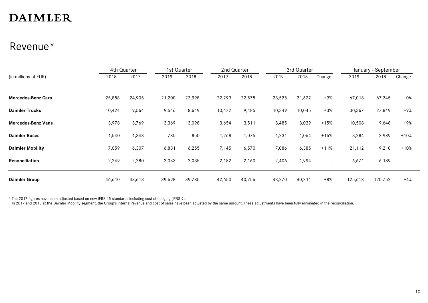#### Revenue\*

|                           | 4th Quarter |          | 1st Quarter |          | 2nd Quarter |          |          | 3rd Quarter |                      |          | January - September |        |
|---------------------------|-------------|----------|-------------|----------|-------------|----------|----------|-------------|----------------------|----------|---------------------|--------|
| (in millions of EUR)      | 2018        | 2017     | 2019        | 2018     | 2019        | 2018     | 2019     | 2018        | Change               | 2019     | 2018                | Change |
|                           |             |          |             |          |             |          |          |             |                      |          |                     |        |
| <b>Mercedes-Benz Cars</b> | 25,858      | 24,905   | 21,200      | 22,998   | 22,293      | 22,575   | 23,525   | 21,672      | $+9%$                | 67,018   | 67,245              | $-0\%$ |
| <b>Daimler Trucks</b>     | 10,424      | 9,564    | 9,546       | 8,619    | 10,472      | 9,185    | 10,349   | 10,045      | $+3%$                | 30,367   | 27,849              | +9%    |
| <b>Mercedes-Benz Vans</b> | 3,978       | 3,769    | 3,369       | 3,098    | 3,654       | 3,511    | 3,485    | 3,039       | $+15%$               | 10,508   | 9,648               | +9%    |
| <b>Daimler Buses</b>      | 1,540       | 1,348    | 785         | 850      | 1,268       | 1,075    | 1,231    | 1,064       | $+16%$               | 3,284    | 2,989               | $+10%$ |
| <b>Daimler Mobility</b>   | 7,059       | 6,307    | 6,881       | 6,255    | 7,145       | 6,570    | 7,086    | 6,385       | $+11%$               | 21,112   | 19,210              | $+10%$ |
| <b>Reconciliation</b>     | $-2,249$    | $-2,280$ | $-2,083$    | $-2,035$ | $-2,182$    | $-2,160$ | $-2,406$ | $-1,994$    | $\ddot{\phantom{1}}$ | $-6,671$ | $-6,189$            |        |
| <b>Daimler Group</b>      | 46,610      | 43,613   | 39,698      | 39,785   | 42,650      | 40,756   | 43,270   | 40,211      | $+8%$                | 125,618  | 120,752             | $+4%$  |

\* The 2017 figures have been adjusted based on new IFRS 15 standards including cost of hedging (IFRS 9).

In 2017 and 2018 at the Daimler Mobility segment, the Group's internal revenue and cost of sales have been adjusted by the same amount. These adjustments have been fully eliminated in the reconciliation.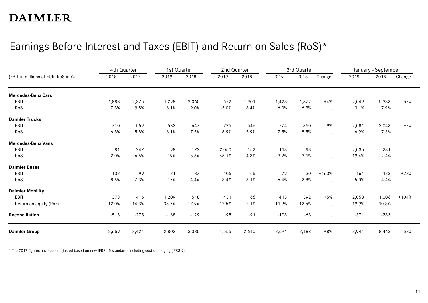#### Earnings Before Interest and Taxes (EBIT) and Return on Sales (RoS)\*

|                                     | 4th Quarter |        | 1st Quarter |        | 2nd Quarter |       |        | 3rd Quarter |         |          | January - September |         |
|-------------------------------------|-------------|--------|-------------|--------|-------------|-------|--------|-------------|---------|----------|---------------------|---------|
| (EBIT in millions of EUR, RoS in %) | 2018        | 2017   | 2019        | 2018   | 2019        | 2018  | 2019   | 2018        | Change  | 2019     | 2018                | Change  |
| <b>Mercedes-Benz Cars</b>           |             |        |             |        |             |       |        |             |         |          |                     |         |
| EBIT                                | 1,883       | 2,375  | 1,298       | 2,060  | $-672$      | 1,901 | 1,423  | 1,372       | $+4%$   | 2,049    | 5,333               | $-62%$  |
| RoS                                 | 7.3%        | 9.5%   | 6.1%        | 9.0%   | $-3.0%$     | 8.4%  | 6.0%   | 6.3%        |         | 3.1%     | 7.9%                | $\cdot$ |
| <b>Daimler Trucks</b>               |             |        |             |        |             |       |        |             |         |          |                     |         |
| EBIT                                | 710         | 559    | 582         | 647    | 725         | 546   | 774    | 850         | -9%     | 2,081    | 2,043               | $+2%$   |
| RoS                                 | 6.8%        | 5.8%   | 6.1%        | 7.5%   | 6.9%        | 5.9%  | 7.5%   | 8.5%        |         | 6.9%     | 7.3%                |         |
| <b>Mercedes-Benz Vans</b>           |             |        |             |        |             |       |        |             |         |          |                     |         |
| EBIT                                | 81          | 247    | $-98$       | 172    | $-2,050$    | 152   | 113    | $-93$       |         | $-2,035$ | 231                 |         |
| RoS                                 | 2.0%        | 6.6%   | $-2.9%$     | 5.6%   | $-56.1%$    | 4.3%  | 3.2%   | $-3.1%$     |         | $-19.4%$ | 2.4%                |         |
| <b>Daimler Buses</b>                |             |        |             |        |             |       |        |             |         |          |                     |         |
| EBIT                                | 132         | 99     | $-21$       | 37     | 106         | 66    | 79     | 30          | $+163%$ | 164      | 133                 | $+23%$  |
| RoS                                 | 8.6%        | 7.3%   | $-2.7%$     | 4.4%   | 8.4%        | 6.1%  | 6.4%   | 2.8%        |         | 5.0%     | 4.4%                | $\cdot$ |
| <b>Daimler Mobility</b>             |             |        |             |        |             |       |        |             |         |          |                     |         |
| EBIT                                | 378         | 416    | 1,209       | 548    | 431         | 66    | 413    | 392         | $+5%$   | 2,053    | 1,006               | $+104%$ |
| Return on equity (RoE)              | 12.0%       | 14.3%  | 35.7%       | 17.9%  | 12.5%       | 2.1%  | 11.9%  | 12.5%       |         | 19.9%    | 10.8%               | $\cdot$ |
| Reconciliation                      | $-515$      | $-275$ | $-168$      | $-129$ | $-95$       | $-91$ | $-108$ | $-63$       |         | $-371$   | $-283$              |         |
| <b>Daimler Group</b>                | 2,669       | 3,421  | 2,802       | 3,335  | $-1,555$    | 2,640 | 2,694  | 2,488       | $+8%$   | 3,941    | 8,463               | $-53%$  |

\* The 2017 figures have been adjusted based on new IFRS 15 standards including cost of hedging (IFRS 9).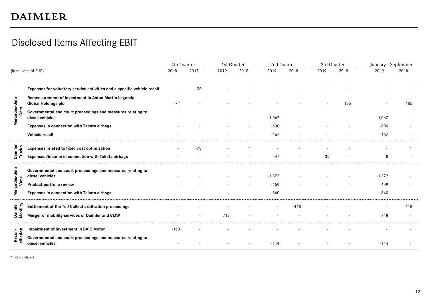#### Disclosed Items Affecting EBIT

|                       |                                                                                   | 4th Quarter |       | 1st Quarter |      | 2nd Quarter |        | 3rd Quarter |      | January - September |        |
|-----------------------|-----------------------------------------------------------------------------------|-------------|-------|-------------|------|-------------|--------|-------------|------|---------------------|--------|
|                       | (in millions of EUR)                                                              | 2018        | 2017  | 2019        | 2018 | 2019        | 2018   | 2019        | 2018 | 2019                | 2018   |
|                       | Expenses for voluntary service activities and a specific vehicle recall           |             | 28    |             |      |             |        |             |      |                     |        |
|                       | Remeasurement of investment in Aston Martin Lagonda<br><b>Global Holdings plc</b> | $-74$       |       |             |      |             |        |             | 185  |                     | 185    |
| Mercedes-Benz<br>Cars | Governmental and court proceedings and measures relating to<br>diesel vehicles    |             |       |             |      | $-1,067$    |        |             |      | $-1,067$            |        |
|                       | Expenses in connection with Takata airbags                                        |             |       |             |      | $-600$      |        |             |      | $-600$              |        |
|                       | Vehicle recall                                                                    |             |       |             |      | $-167$      |        |             |      | $-167$              |        |
|                       | Expenses related to fixed cost optimization                                       |             | $-78$ |             |      |             |        |             |      |                     |        |
| Daimler<br>Trucks     | Expenses/income in connection with Takata airbags                                 |             |       |             |      | $-47$       |        | 39          |      | -8                  |        |
| cedes-Benz            | Governmental and court proceedings and measures relating to<br>diesel vehicles    |             |       |             |      | $-1,372$    |        |             |      | $-1,372$            |        |
| Vans                  | Product portfolio review                                                          |             |       |             |      | $-459$      |        |             |      | $-459$              |        |
| Mer                   | Expenses in connection with Takata airbags                                        |             |       |             |      | $-340$      |        |             |      | $-340$              |        |
|                       | Settlement of the Toll Collect arbitration proceedings                            |             |       |             |      |             | $-418$ |             |      |                     | $-418$ |
| Daimler<br>Mobility   | Merger of mobility services of Daimler and BMW                                    |             |       | 718         |      |             |        |             |      | 718                 |        |
|                       | Impairment of investment in BAIC Motor                                            | $-150$      |       |             |      |             |        |             |      |                     |        |
| Recon-<br>ciliation   | Governmental and court proceedings and measures relating to<br>diesel vehicles    |             |       |             |      | $-114$      |        |             |      | $-114$              |        |
| * not significant     |                                                                                   |             |       |             |      |             |        |             |      |                     |        |

\* not significant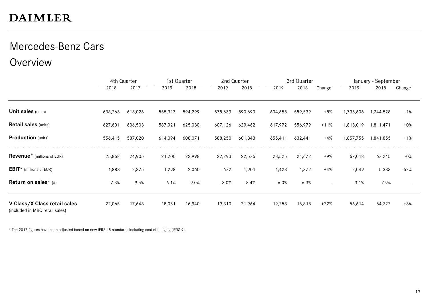#### Mercedes-Benz Cars

Overview

|                                                                |         | 4th Quarter |         | 1st Quarter |         | 2nd Quarter |         | 3rd Quarter |        |           | January - September |           |
|----------------------------------------------------------------|---------|-------------|---------|-------------|---------|-------------|---------|-------------|--------|-----------|---------------------|-----------|
|                                                                | 2018    | 2017        | 2019    | 2018        | 2019    | 2018        | 2019    | 2018        | Change | 2019      | 2018                | Change    |
|                                                                |         |             |         |             |         |             |         |             |        |           |                     |           |
| <b>Unit sales (units)</b>                                      | 638,263 | 613,026     | 555,312 | 594,299     | 575,639 | 590,690     | 604,655 | 559,539     | $+8%$  | 1,735,606 | 1,744,528           | $-1%$     |
| <b>Retail sales (units)</b>                                    | 627,601 | 606,503     | 587,921 | 625,030     | 607,126 | 629,462     | 617,972 | 556,979     | $+11%$ | 1,813,019 | 1,811,471           | $+0\%$    |
| <b>Production</b> (units)                                      | 556,415 | 587,020     | 614,094 | 608,071     | 588,250 | 601,343     | 655,411 | 632,441     | $+4%$  | 1,857,755 | 1,841,855           | $+1%$     |
| <b>Revenue</b> <sup>*</sup> (millions of EUR)                  | 25,858  | 24,905      | 21,200  | 22,998      | 22,293  | 22,575      | 23,525  | 21,672      | +9%    | 67,018    | 67,245              | $-0\%$    |
| <b>EBIT</b> * (millions of EUR)                                | 1,883   | 2,375       | 1,298   | 2,060       | $-672$  | 1,901       | 1,423   | 1,372       | $+4%$  | 2,049     | 5,333               | $-62%$    |
| Return on sales* $(*)$                                         | 7.3%    | 9.5%        | 6.1%    | 9.0%        | $-3.0%$ | 8.4%        | 6.0%    | 6.3%        |        | 3.1%      | 7.9%                | $\bullet$ |
| V-Class/X-Class retail sales<br>(included in MBC retail sales) | 22,065  | 17,648      | 18,051  | 16,940      | 19,310  | 21,964      | 19,253  | 15,818      | $+22%$ | 56,614    | 54,722              | $+3%$     |

\* The 2017 figures have been adjusted based on new IFRS 15 standards including cost of hedging (IFRS 9).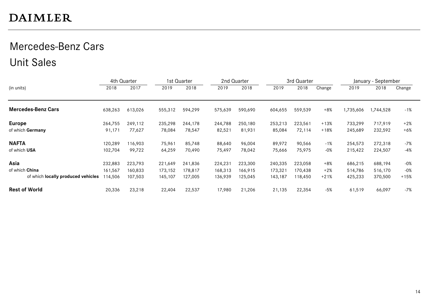#### Mercedes-Benz Cars Unit Sales

|                                    | 4th Quarter |         |         | 1st Quarter | 2nd Quarter |         |         | 3rd Quarter |        |           | January - September |        |
|------------------------------------|-------------|---------|---------|-------------|-------------|---------|---------|-------------|--------|-----------|---------------------|--------|
| (in units)                         | 2018        | 2017    | 2019    | 2018        | 2019        | 2018    | 2019    | 2018        | Change | 2019      | 2018                | Change |
| <b>Mercedes-Benz Cars</b>          | 638,263     | 613,026 | 555,312 | 594,299     | 575,639     | 590,690 | 604,655 | 559,539     | $+8%$  | 1,735,606 | ,744,528            | $-1%$  |
| <b>Europe</b>                      | 264,755     | 249,112 | 235,298 | 244,178     | 244,788     | 250,180 | 253,213 | 223,561     | $+13%$ | 733,299   | 717,919             | $+2%$  |
| of which Germany                   | 91,171      | 77,627  | 78,084  | 78,547      | 82,521      | 81,931  | 85,084  | 72,114      | $+18%$ | 245,689   | 232,592             | $+6%$  |
| <b>NAFTA</b>                       | 120,289     | 116,903 | 75,961  | 85,748      | 88,640      | 96,004  | 89,972  | 90,566      | $-1%$  | 254,573   | 272,318             | $-7%$  |
| of which USA                       | 102,704     | 99,722  | 64,259  | 70,490      | 75,497      | 78,042  | 75,666  | 75,975      | $-0\%$ | 215,422   | 224,507             | -4%    |
| Asia                               | 232,883     | 223,793 | 221,649 | 241,836     | 224,231     | 223,300 | 240,335 | 223,058     | $+8%$  | 686,215   | 688,194             | -0%    |
| of which China                     | 161,567     | 160,833 | 173,152 | 178,817     | 168,313     | 166,915 | 173,321 | 170.438     | $+2%$  | 514,786   | 516,170             | $-0\%$ |
| of which locally produced vehicles | 114,506     | 107,503 | 145,107 | 127,005     | 136,939     | 125,045 | 143,187 | 18,450      | $+21%$ | 425,233   | 370,500             | $+15%$ |
| <b>Rest of World</b>               | 20,336      | 23,218  | 22,404  | 22,537      | 17,980      | 21,206  | 21,135  | 22,354      | -5%    | 61,519    | 66,097              | $-7%$  |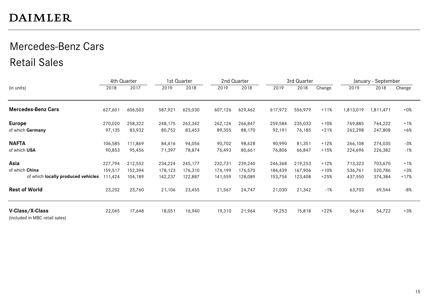#### Mercedes-Benz Cars Retail Sales

|                                                   |         | 4th Quarter |         | 1st Quarter |         | 2nd Quarter |         | 3rd Quarter |        |           | January - September |        |
|---------------------------------------------------|---------|-------------|---------|-------------|---------|-------------|---------|-------------|--------|-----------|---------------------|--------|
| (in units)                                        | 2018    | 2017        | 2019    | 2018        | 2019    | 2018        | 2019    | 2018        | Change | 2019      | 2018                | Change |
| <b>Mercedes-Benz Cars</b>                         | 627,601 | 606,503     | 587,921 | 625,030     | 607,126 | 629,462     | 617,972 | 556,979     | $+11%$ | 1,813,019 | 1,811,471           | $+0\%$ |
| <b>Europe</b>                                     | 270,020 | 258,322     | 248,175 | 262,342     | 262,126 | 266,847     | 259,584 | 235,033     | $+10%$ | 769,885   | 764,222             | $+1%$  |
| of which Germany                                  | 97,135  | 83,932      | 80,752  | 83,453      | 89,355  | 88,170      | 92,191  | 76,185      | $+21%$ | 262,298   | 247,808             | $+6%$  |
| <b>NAFTA</b>                                      | 106,585 | 111,869     | 84,416  | 94,056      | 90,702  | 98,628      | 90,990  | 81,351      | $+12%$ | 266,108   | 274,035             | $-3%$  |
| of which USA                                      | 90,853  | 95,456      | 71,397  | 78,874      | 76,493  | 80,661      | 76,806  | 66,847      | $+15%$ | 224,696   | 226,382             | -1%    |
| Asia                                              | 227,794 | 212,552     | 234,224 | 245,177     | 232,731 | 239,240     | 246,368 | 219,253     | $+12%$ | 713,323   | 703,670             | $+1%$  |
| of which China                                    | 159,517 | 152,394     | 178,123 | 176,310     | 174,199 | 176,570     | 184,439 | 167,906     | $+10%$ | 536,761   | 520,786             | $+3%$  |
| of which locally produced vehicles                | 111,424 | 104,189     | 142,237 | 122,887     | 141,559 | 128,089     | 153,754 | 123,408     | $+25%$ | 437,550   | 374,384             | $+17%$ |
| <b>Rest of World</b>                              | 23,202  | 23,760      | 21,106  | 23,455      | 21,567  | 24,747      | 21,030  | 21,342      | $-1%$  | 63,703    | 69,544              | -8%    |
| V-Class/X-Class<br>(included in MBC retail sales) | 22,065  | 17,648      | 18,051  | 16,940      | 19,310  | 21,964      | 19,253  | 15,818      | $+22%$ | 56,614    | 54,722              | +3%    |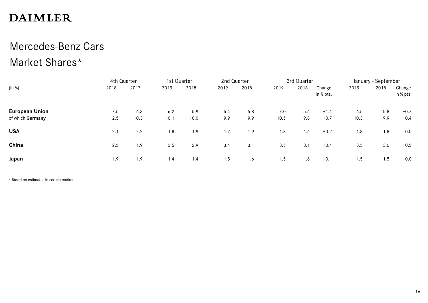### Mercedes-Benz Cars

#### Market Shares\*

|                       | 4th Quarter |      |      | 1st Quarter |      | 2nd Quarter |      | 3rd Quarter |                     |      | January - September |                     |
|-----------------------|-------------|------|------|-------------|------|-------------|------|-------------|---------------------|------|---------------------|---------------------|
| (in %)                | 2018        | 2017 | 2019 | 2018        | 2019 | 2018        | 2019 | 2018        | Change<br>in % pts. | 2019 | 2018                | Change<br>in % pts. |
| <b>European Union</b> | 7.5         | 6.3  | 6.2  | 5.9         | 6.4  | 5.8         | 7.0  | 5.6         | $+1.4$              | 6.5  | 5.8                 | $+0.7$              |
| of which Germany      | 12.5        | 10.3 | 10.1 | 10.0        | 9.9  | 9.9         | 10.5 | 9.8         | $+0.7$              | 10.3 | 9.9                 | $+0.4$              |
| <b>USA</b>            | 2.1         | 2.2  | 1.8  | 1.9         | 1.7  | 1.9         | 1.8  | 1.6         | $+0.2$              | 1.8  | 1.8                 | 0.0                 |
| China                 | 2.5         | 1.9  | 3.5  | 2.9         | 3.4  | 3.1         | 3.5  | 3.1         | $+0.4$              | 3.5  | 3.0                 | $+0.5$              |
| Japan                 | 1.9         | 1.9  | 1.4  | 1.4         | 1.5  | 1.6         | 1.5  | 1.6         | $-0.1$              | 1.5  | 1.5                 | 0.0                 |

\* Based on estimates in certain markets.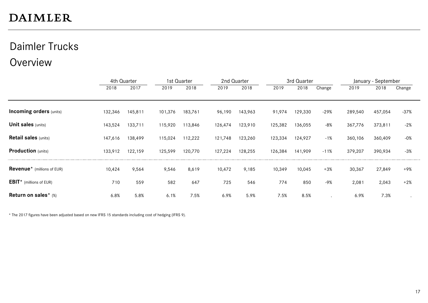### Daimler Trucks

#### **Overview**

|                                               | 4th Quarter |         |         | 1st Quarter |         | 2nd Quarter |         | 3rd Quarter |        |         | January - September |        |
|-----------------------------------------------|-------------|---------|---------|-------------|---------|-------------|---------|-------------|--------|---------|---------------------|--------|
|                                               | 2018        | 2017    | 2019    | 2018        | 2019    | 2018        | 2019    | 2018        | Change | 2019    | 2018                | Change |
|                                               |             |         |         |             |         |             |         |             |        |         |                     |        |
| <b>Incoming orders (units)</b>                | 132,346     | 145,811 | 101,376 | 183,761     | 96,190  | 143,963     | 91,974  | 129,330     | $-29%$ | 289,540 | 457,054             | -37%   |
| <b>Unit sales (units)</b>                     | 143,524     | 133,711 | 115,920 | 113,846     | 126,474 | 123,910     | 125,382 | 136,055     | $-8%$  | 367,776 | 373,811             | $-2%$  |
| <b>Retail sales (units)</b>                   | 147,616     | 138,499 | 115,024 | 112,222     | 121,748 | 123,260     | 123,334 | 124,927     | $-1%$  | 360,106 | 360,409             | $-0\%$ |
| <b>Production</b> (units)                     | 133,912     | 122,159 | 125,599 | 120,770     | 127,224 | 128,255     | 126,384 | 141,909     | $-11%$ | 379,207 | 390,934             | $-3%$  |
| <b>Revenue</b> <sup>*</sup> (millions of EUR) | 10,424      | 9,564   | 9,546   | 8,619       | 10,472  | 9,185       | 10,349  | 10,045      | $+3%$  | 30,367  | 27,849              | +9%    |
| <b>EBIT</b> * (millions of EUR)               | 710         | 559     | 582     | 647         | 725     | 546         | 774     | 850         | $-9%$  | 2,081   | 2,043               | $+2%$  |
| Return on sales* (%)                          | 6.8%        | 5.8%    | 6.1%    | 7.5%        | 6.9%    | 5.9%        | 7.5%    | 8.5%        |        | 6.9%    | 7.3%                |        |

\* The 2017 figures have been adjusted based on new IFRS 15 standards including cost of hedging (IFRS 9).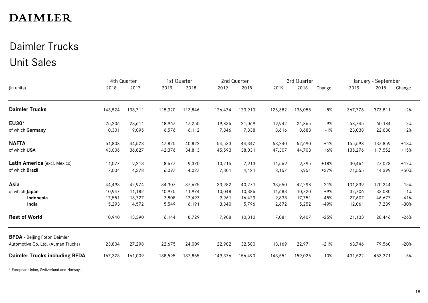#### Daimler Trucks Unit Sales

|                                      |         | 4th Quarter |         | 1st Quarter |         | 2nd Quarter |         | 3rd Quarter |        |         | January - September |        |
|--------------------------------------|---------|-------------|---------|-------------|---------|-------------|---------|-------------|--------|---------|---------------------|--------|
| (in units)                           | 2018    | 2017        | 2019    | 2018        | 2019    | 2018        | 2019    | 2018        | Change | 2019    | 2018                | Change |
| <b>Daimler Trucks</b>                | 143,524 | 133,711     | 115,920 | 113,846     | 126,474 | 123,910     | 125,382 | 136,055     | $-8%$  | 367,776 | 373,811             | $-2%$  |
| EU30*                                | 25,206  | 23,611      | 18,967  | 17,250      | 19,836  | 21,069      | 19,942  | 21,865      | -9%    | 58,745  | 60,184              | $-2%$  |
| of which Germany                     | 10,301  | 9,095       | 6,576   | 6, 112      | 7,846   | 7,838       | 8,616   | 8,688       | $-1%$  | 23,038  | 22,638              | $+2%$  |
| <b>NAFTA</b>                         | 51,808  | 44,523      | 47,825  | 40,822      | 54,533  | 44,347      | 53,240  | 52,690      | $+1%$  | 155,598 | 137,859             | $+13%$ |
| of which USA                         | 43,006  | 36,827      | 42,376  | 34,813      | 45,593  | 38,031      | 47,307  | 44,708      | $+6%$  | 135,276 | 117,552             | $+15%$ |
| Latin America (excl. Mexico)         | 11,077  | 9,213       | 8,677   | 9,370       | 10,215  | 7,913       | 11,569  | 9,795       | $+18%$ | 30,461  | 27,078              | $+12%$ |
| of which Brazil                      | 7,004   | 4,378       | 6,097   | 4,027       | 7,301   | 4,421       | 8,157   | 5,951       | $+37%$ | 21,555  | 14,399              | $+50%$ |
| Asia                                 | 44,493  | 42,974      | 34,307  | 37,675      | 33,982  | 40,271      | 33,550  | 42,298      | $-21%$ | 101,839 | 120,244             | $-15%$ |
| of which Japan                       | 10,947  | 11,182      | 10,975  | 11,974      | 10,048  | 10,386      | 11,683  | 10,720      | $+9%$  | 32,706  | 33,080              | $-1%$  |
| Indonesia                            | 17,551  | 13,727      | 7,808   | 12,497      | 9,961   | 16,429      | 9,838   | 17,751      | $-45%$ | 27,607  | 46,677              | $-41%$ |
| India                                | 5,293   | 4,572       | 5,549   | 6,191       | 3,840   | 5,796       | 2,672   | 5,252       | $-49%$ | 12,061  | 17,239              | $-30%$ |
| <b>Rest of World</b>                 | 10,940  | 13,390      | 6,144   | 8,729       | 7,908   | 10,310      | 7,081   | 9,407       | $-25%$ | 21,133  | 28,446              | $-26%$ |
| <b>BFDA</b> - Beijing Foton Daimler  |         |             |         |             |         |             |         |             |        |         |                     |        |
| Automotive Co. Ltd. (Auman Trucks)   | 23,804  | 27,298      | 22,675  | 24,009      | 22,902  | 32,580      | 18,169  | 22,971      | $-21%$ | 63,746  | 79,560              | $-20%$ |
| <b>Daimler Trucks including BFDA</b> | 167,328 | 161,009     | 138,595 | 137,855     | 149,376 | 156,490     | 143,551 | 159,026     | $-10%$ | 431,522 | 453,371             | $-5%$  |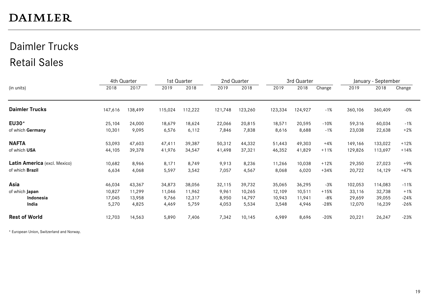#### Daimler Trucks Retail Sales

|                              |         | 4th Quarter |         | 1st Quarter |         | 2nd Quarter |         | 3rd Quarter |        |         | January - September |        |
|------------------------------|---------|-------------|---------|-------------|---------|-------------|---------|-------------|--------|---------|---------------------|--------|
| (in units)                   | 2018    | 2017        | 2019    | 2018        | 2019    | 2018        | 2019    | 2018        | Change | 2019    | 2018                | Change |
| <b>Daimler Trucks</b>        | 147,616 | 138,499     | 115,024 | 112,222     | 121,748 | 123,260     | 123,334 | 124,927     | $-1%$  | 360,106 | 360,409             | $-0%$  |
| EU30*                        | 25,104  | 24,000      | 18,679  | 18,624      | 22,066  | 20,815      | 18,571  | 20,595      | $-10%$ | 59,316  | 60,034              | $-1%$  |
| of which Germany             | 10,301  | 9,095       | 6,576   | 6,112       | 7,846   | 7,838       | 8,616   | 8,688       | $-1%$  | 23,038  | 22,638              | $+2%$  |
| <b>NAFTA</b>                 | 53,093  | 47,603      | 47,411  | 39,387      | 50,312  | 44,332      | 51,443  | 49,303      | $+4%$  | 149,166 | 133,022             | $+12%$ |
| of which USA                 | 44,105  | 39,378      | 41,976  | 34,547      | 41,498  | 37,321      | 46,352  | 41,829      | $+11%$ | 129,826 | 113,697             | $+14%$ |
| Latin America (excl. Mexico) | 10,682  | 8,966       | 8,171   | 8,749       | 9,913   | 8,236       | 11,266  | 10,038      | $+12%$ | 29,350  | 27,023              | +9%    |
| of which Brazil              | 6,634   | 4,068       | 5,597   | 3,542       | 7,057   | 4,567       | 8,068   | 6,020       | $+34%$ | 20,722  | 14,129              | $+47%$ |
| Asia                         | 46,034  | 43,367      | 34,873  | 38,056      | 32,115  | 39,732      | 35,065  | 36,295      | $-3%$  | 102,053 | 114,083             | $-11%$ |
| of which Japan               | 10,827  | 11,299      | 11,046  | 11,962      | 9,961   | 10,265      | 12,109  | 10,511      | $+15%$ | 33,116  | 32,738              | $+1%$  |
| Indonesia                    | 17,045  | 13,958      | 9,766   | 12,317      | 8,950   | 14,797      | 10,943  | 11,941      | -8%    | 29,659  | 39,055              | $-24%$ |
| India                        | 5,270   | 4,825       | 4,469   | 5,759       | 4,053   | 5,534       | 3,548   | 4,946       | $-28%$ | 12,070  | 16,239              | $-26%$ |
| <b>Rest of World</b>         | 12,703  | 14,563      | 5,890   | 7,406       | 7,342   | 10,145      | 6,989   | 8,696       | $-20%$ | 20,221  | 26,247              | $-23%$ |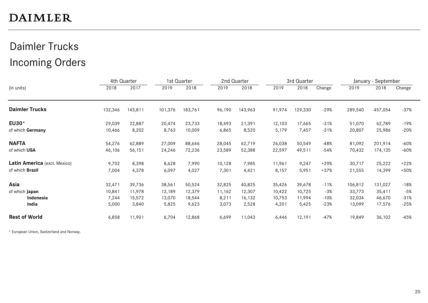### Daimler Trucks Incoming Orders

|                              |         | 4th Quarter |         | 1st Quarter |        | 2nd Quarter |        | 3rd Quarter |        |         | January - September |        |
|------------------------------|---------|-------------|---------|-------------|--------|-------------|--------|-------------|--------|---------|---------------------|--------|
| (in units)                   | 2018    | 2017        | 2019    | 2018        | 2019   | 2018        | 2019   | 2018        | Change | 2019    | 2018                | Change |
| <b>Daimler Trucks</b>        | 132,346 | 145,811     | 101,376 | 183,761     | 96,190 | 143,963     | 91,974 | 129,330     | $-29%$ | 289,540 | 457,054             | $-37%$ |
| EU30*                        | 29,039  | 22,887      | 20,474  | 23,733      | 18,493 | 21,391      | 12,103 | 17,665      | $-31%$ | 51,070  | 62,789              | -19%   |
| of which Germany             | 10,466  | 8,202       | 8,763   | 10,009      | 6,865  | 8,520       | 5,179  | 7,457       | $-31%$ | 20,807  | 25,986              | $-20%$ |
| <b>NAFTA</b>                 | 54,276  | 62,889      | 27,009  | 88,646      | 28,045 | 62,719      | 26,038 | 50,549      | -48%   | 81,092  | 201,914             | -60%   |
| of which USA                 | 46,106  | 56,151      | 24,246  | 72,236      | 23,589 | 52,388      | 22,597 | 49,511      | -54%   | 70,432  | 174,135             | -60%   |
| Latin America (excl. Mexico) | 9,702   | 8,398       | 8,628   | 7,990       | 10,128 | 7,985       | 11,961 | 9,247       | $+29%$ | 30,717  | 25,222              | $+22%$ |
| of which Brazil              | 7,004   | 4,378       | 6,097   | 4,027       | 7,301  | 4,421       | 8,157  | 5,951       | $+37%$ | 21,555  | 14,399              | $+50%$ |
| Asia                         | 32,471  | 39,736      | 38,561  | 50,524      | 32,825 | 40,825      | 35,426 | 39,678      | $-11%$ | 106,812 | 131,027             | $-18%$ |
| of which Japan               | 10,841  | 11,978      | 12,189  | 12,379      | 11,162 | 12,307      | 10,422 | 10,725      | -3%    | 33,773  | 35,411              | -5%    |
| Indonesia                    | 7,244   | 15,572      | 13,070  | 18,544      | 8,211  | 16,132      | 10,753 | 11,994      | $-10%$ | 32,034  | 46,670              | $-31%$ |
| India                        | 5,000   | 3,840       | 5,825   | 9,623       | 3,073  | 2,528       | 4,201  | 5,425       | -23%   | 13,099  | 17,576              | -25%   |
| <b>Rest of World</b>         | 6,858   | 11,901      | 6,704   | 12,868      | 6,699  | 11,043      | 6,446  | 12,191      | -47%   | 19,849  | 36,102              | -45%   |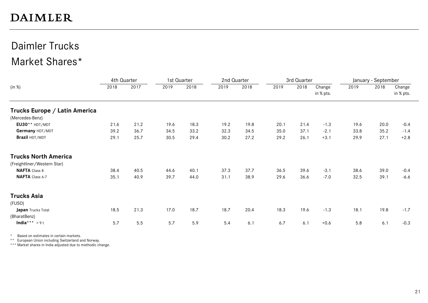#### Daimler Trucks Market Shares\*

|                               | 4th Quarter |      |      | 1st Quarter | 2nd Quarter |      |      | 3rd Quarter |                     |      | January - September |                     |
|-------------------------------|-------------|------|------|-------------|-------------|------|------|-------------|---------------------|------|---------------------|---------------------|
| (in %)                        | 2018        | 2017 | 2019 | 2018        | 2019        | 2018 | 2019 | 2018        | Change<br>in % pts. | 2019 | 2018                | Change<br>in % pts. |
| Trucks Europe / Latin America |             |      |      |             |             |      |      |             |                     |      |                     |                     |
| (Mercedes-Benz)               |             |      |      |             |             |      |      |             |                     |      |                     |                     |
| $EUSO**$ HDT/MDT              | 21.6        | 21.2 | 19.6 | 18.3        | 19.2        | 19.8 | 20.1 | 21.4        | $-1.3$              | 19.6 | 20.0                | $-0.4$              |
| Germany HDT/MDT               | 39.2        | 36.7 | 34.5 | 33.2        | 32.3        | 34.5 | 35.0 | 37.1        | $-2.1$              | 33.8 | 35.2                | $-1.4$              |
| Brazil HDT/MDT                | 29.1        | 25.7 | 30.5 | 29.4        | 30.2        | 27.2 | 29.2 | 26.1        | $+3.1$              | 29.9 | 27.1                | $+2.8$              |
| <b>Trucks North America</b>   |             |      |      |             |             |      |      |             |                     |      |                     |                     |
| (Freightliner/Western Star)   |             |      |      |             |             |      |      |             |                     |      |                     |                     |
| <b>NAFTA Class 8</b>          | 38.4        | 40.5 | 44.6 | 40.1        | 37.3        | 37.7 | 36.5 | 39.6        | $-3.1$              | 38.6 | 39.0                | $-0.4$              |
| NAFTA Class 6-7               | 35.1        | 40.9 | 39.7 | 44.0        | 31.1        | 38.9 | 29.6 | 36.6        | $-7.0$              | 32.5 | 39.1                | $-6.6$              |
| <b>Trucks Asia</b>            |             |      |      |             |             |      |      |             |                     |      |                     |                     |
| (FUSO)                        |             |      |      |             |             |      |      |             |                     |      |                     |                     |
| Japan Trucks Total            | 18.5        | 21.3 | 17.0 | 18.7        | 18.7        | 20.4 | 18.3 | 19.6        | $-1.3$              | 18.1 | 19.8                | $-1.7$              |
| (BharatBenz)                  |             |      |      |             |             |      |      |             |                     |      |                     |                     |
| India*** >9t                  | 5.7         | 5.5  | 5.7  | 5.9         | 5.4         | 6.1  | 6.7  | 6.1         | $+0.6$              | 5.8  | 6.1                 | $-0.3$              |

\* Based on estimates in certain markets.

\*\* European Union including Switzerland and Norway.

\*\*\* Market shares in India adjusted due to methodic change.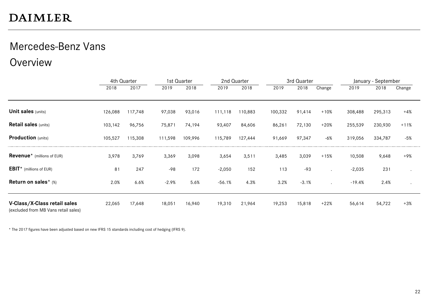#### Mercedes-Benz Vans

Overview

|                                                                      |         | 4th Quarter |         | 1st Quarter |          | 2nd Quarter |         | 3rd Quarter |                      |          | January - September |           |
|----------------------------------------------------------------------|---------|-------------|---------|-------------|----------|-------------|---------|-------------|----------------------|----------|---------------------|-----------|
|                                                                      | 2018    | 2017        | 2019    | 2018        | 2019     | 2018        | 2019    | 2018        | Change               | 2019     | 2018                | Change    |
| <b>Unit sales (units)</b>                                            | 126,088 | 117,748     | 97,038  | 93,016      | 111,118  | 110,883     | 100,332 | 91,414      | $+10%$               | 308,488  | 295,313             | $+4%$     |
| <b>Retail sales (units)</b>                                          | 103,142 | 96,756      | 75,871  | 74,194      | 93,407   | 84,606      | 86,261  | 72,130      | $+20%$               | 255,539  | 230,930             | $+11%$    |
| <b>Production</b> (units)                                            | 105,527 | 115,308     | 111,598 | 109,996     | 115,789  | 127,444     | 91,669  | 97,347      | $-6%$                | 319,056  | 334,787             | $-5%$     |
| <b>Revenue</b> <sup>*</sup> (millions of EUR)                        | 3,978   | 3,769       | 3,369   | 3,098       | 3,654    | 3,511       | 3,485   | 3,039       | $+15%$               | 10,508   | 9,648               | +9%       |
| <b>EBIT</b> * (millions of EUR)                                      | 81      | 247         | $-98$   | 172         | $-2,050$ | 152         | 113     | $-93$       |                      | $-2,035$ | 231                 |           |
| Return on sales* (%)                                                 | 2.0%    | 6.6%        | $-2.9%$ | 5.6%        | $-56.1%$ | 4.3%        | 3.2%    | $-3.1%$     | $\ddot{\phantom{a}}$ | $-19.4%$ | 2.4%                | $\bullet$ |
| V-Class/X-Class retail sales<br>(excluded from MB Vans retail sales) | 22,065  | 17,648      | 18,051  | 16,940      | 19,310   | 21,964      | 19,253  | 15,818      | $+22%$               | 56,614   | 54,722              | $+3%$     |

\* The 2017 figures have been adjusted based on new IFRS 15 standards including cost of hedging (IFRS 9).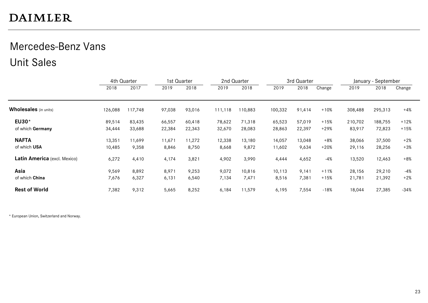#### Mercedes-Benz Vans Unit Sales

|                              |         | 4th Quarter | 1st Quarter |        |         | 2nd Quarter |         | 3rd Quarter |        |         | January - September |        |
|------------------------------|---------|-------------|-------------|--------|---------|-------------|---------|-------------|--------|---------|---------------------|--------|
|                              | 2018    | 2017        | 2019        | 2018   | 2019    | 2018        | 2019    | 2018        | Change | 2019    | 2018                | Change |
| Wholesales (in units)        | 126,088 | 117,748     | 97,038      | 93,016 | 111,118 | 110,883     | 100,332 | 91,414      | $+10%$ | 308,488 | 295,313             | $+4%$  |
| EU30*                        | 89,514  | 83,435      | 66,557      | 60,418 | 78,622  | 71,318      | 65,523  | 57,019      | $+15%$ | 210,702 | 188,755             | $+12%$ |
| of which Germany             | 34,444  | 33,688      | 22,384      | 22,343 | 32,670  | 28,083      | 28,863  | 22,397      | $+29%$ | 83,917  | 72,823              | $+15%$ |
| <b>NAFTA</b>                 | 13,351  | 11,699      | 11,671      | 11,272 | 12,338  | 13,180      | 14,057  | 13,048      | $+8%$  | 38,066  | 37,500              | $+2%$  |
| of which USA                 | 10,485  | 9,358       | 8,846       | 8,750  | 8,668   | 9,872       | 11,602  | 9,634       | $+20%$ | 29,116  | 28,256              | $+3%$  |
| Latin America (excl. Mexico) | 6,272   | 4,410       | 4,174       | 3,821  | 4,902   | 3,990       | 4,444   | 4,652       | -4%    | 13,520  | 12,463              | $+8%$  |
| Asia                         | 9,569   | 8,892       | 8,971       | 9,253  | 9,072   | 10,816      | 10,113  | 9,141       | $+11%$ | 28,156  | 29,210              | $-4%$  |
| of which China               | 7,676   | 6,327       | 6,131       | 6,540  | 7,134   | 7,471       | 8,516   | 7,381       | $+15%$ | 21,781  | 21,392              | $+2%$  |
| <b>Rest of World</b>         | 7,382   | 9,312       | 5,665       | 8,252  | 6,184   | 11,579      | 6,195   | 7,554       | $-18%$ | 18,044  | 27,385              | $-34%$ |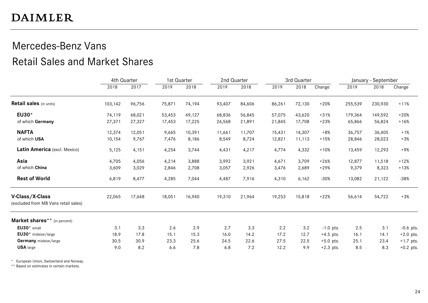#### Mercedes-Benz Vans Retail Sales and Market Shares

|                                                         | 4th Quarter |        | 1st Quarter |        | 2nd Quarter |        |        | 3rd Quarter |             |         | January - September |             |
|---------------------------------------------------------|-------------|--------|-------------|--------|-------------|--------|--------|-------------|-------------|---------|---------------------|-------------|
|                                                         | 2018        | 2017   | 2019        | 2018   | 2019        | 2018   | 2019   | 2018        | Change      | 2019    | 2018                | Change      |
| <b>Retail sales</b> (in units)                          | 103,142     | 96,756 | 75,871      | 74,194 | 93,407      | 84,606 | 86,261 | 72,130      | $+20%$      | 255,539 | 230,930             | $+11%$      |
| EU30*                                                   | 74,119      | 68,021 | 53,453      | 49,127 | 68,836      | 56,845 | 57,075 | 43,620      | $+31%$      | 179,364 | 149,592             | $+20%$      |
| of which Germany                                        | 27,371      | 27,327 | 17,453      | 17,225 | 26,568      | 21,891 | 21,845 | 17,708      | $+23%$      | 65,866  | 56,824              | $+16%$      |
| <b>NAFTA</b>                                            | 12,374      | 12,051 | 9,665       | 10,391 | 11,661      | 11,707 | 15,431 | 14,307      | $+8%$       | 36,757  | 36,405              | $+1%$       |
| of which USA                                            | 10,154      | 9,767  | 7,476       | 8,186  | 8,549       | 8,724  | 12,821 | 11,113      | $+15%$      | 28,846  | 28,023              | $+3%$       |
| Latin America (excl. Mexico)                            | 5,125       | 4,151  | 4,254       | 3,744  | 4,431       | 4,217  | 4,774  | 4,332       | $+10%$      | 13,459  | 12,293              | $+9%$       |
| Asia                                                    | 4,705       | 4,056  | 4,214       | 3,888  | 3,992       | 3,921  | 4,671  | 3,709       | $+26%$      | 12,877  | 11,518              | $+12%$      |
| of which China                                          | 3,609       | 3,029  | 2,846       | 2,708  | 3,057       | 2,926  | 3,476  | 2,689       | $+29%$      | 9,379   | 8,323               | $+13%$      |
| <b>Rest of World</b>                                    | 6,819       | 8,477  | 4,285       | 7,044  | 4,487       | 7,916  | 4,310  | 6,162       | $-30%$      | 13,082  | 21,122              | $-38%$      |
| V-Class/X-Class<br>(excluded from MB Vans retail sales) | 22,065      | 17,648 | 18,051      | 16,940 | 19,310      | 21,964 | 19,253 | 15,818      | $+22%$      | 56,614  | 54,722              | $+3%$       |
| Market shares** (in percent)                            |             |        |             |        |             |        |        |             |             |         |                     |             |
| EU30* small                                             | 3.1         | 3.3    | 2.6         | 2.9    | 2.7         | 3.3    | 2.2    | 3.2         | $-1.0$ pts. | 2.5     | 3.1                 | $-0.6$ pts. |
| EU30* midsize/large                                     | 18.9        | 17.8   | 15.1        | 15.3   | 16.0        | 14.2   | 17.2   | 12.7        | $+4.5$ pts. | 16.1    | 14.1                | $+2.0$ pts. |
| Germany midsize/large                                   | 30.5        | 30.9   | 23.3        | 25.6   | 24.5        | 22.6   | 27.5   | 22.5        | $+5.0$ pts. | 25.1    | 23.4                | $+1.7$ pts. |
| <b>USA</b> large                                        | 9.0         | 8.2    | 6.6         | 7.8    | 6.8         | 7.2    | 12.2   | 9.9         | $+2.3$ pts. | 8.5     | 8.3                 | $+0.2$ pts. |

\* European Union, Switzerland and Norway.

\*\* Based on estimates in certain markets.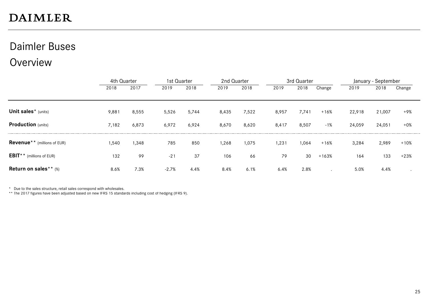#### Daimler Buses

#### Overview

|                                                | 4th Quarter |       | 1st Quarter |       | 2nd Quarter |       | 3rd Quarter |       |         | January - September |        |        |  |
|------------------------------------------------|-------------|-------|-------------|-------|-------------|-------|-------------|-------|---------|---------------------|--------|--------|--|
|                                                | 2018        | 2017  | 2019        | 2018  | 2019        | 2018  | 2019        | 2018  | Change  | 2019                | 2018   | Change |  |
|                                                |             |       |             |       |             |       |             |       |         |                     |        |        |  |
| Unit sales* (units)                            | 9,881       | 8,555 | 5,526       | 5,744 | 8,435       | 7,522 | 8,957       | 7,741 | $+16%$  | 22,918              | 21,007 | +9%    |  |
| <b>Production</b> (units)                      | 7,182       | 6,873 | 6,972       | 6,924 | 8,670       | 8,620 | 8,417       | 8,507 | $-1%$   | 24,059              | 24,051 | $+0\%$ |  |
| <b>Revenue</b> <sup>**</sup> (millions of EUR) | 1,540       | 1,348 | 785         | 850   | 1,268       | 1,075 | 1,231       | 1,064 | $+16%$  | 3,284               | 2,989  | $+10%$ |  |
| <b>EBIT</b> ** (millions of EUR)               | 132         | 99    | $-21$       | 37    | 106         | 66    | 79          | 30    | $+163%$ | 164                 | 133    | $+23%$ |  |
| Return on sales ** $(*)$                       | 8.6%        | 7.3%  | $-2.7%$     | 4.4%  | 8.4%        | 6.1%  | 6.4%        | 2.8%  |         | 5.0%                | 4.4%   |        |  |

\* Due to the sales structure, retail sales correspond with wholesales.

\*\* The 2017 figures have been adjusted based on new IFRS 15 standards including cost of hedging (IFRS 9).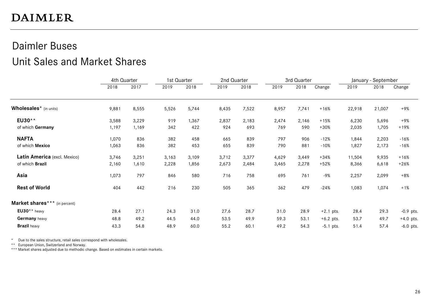#### Daimler Buses Unit Sales and Market Shares

|                                    | 4th Quarter |       | 1st Quarter<br>2nd Quarter |       | 3rd Quarter |       |       |       | January - September |        |        |             |
|------------------------------------|-------------|-------|----------------------------|-------|-------------|-------|-------|-------|---------------------|--------|--------|-------------|
|                                    | 2018        | 2017  | 2019                       | 2018  | 2019        | 2018  | 2019  | 2018  | Change              | 2019   | 2018   | Change      |
| Wholesales <sup>*</sup> (in units) | 9,881       | 8,555 | 5,526                      | 5,744 | 8,435       | 7,522 | 8,957 | 7,741 | $+16%$              | 22,918 | 21,007 | +9%         |
| EU30**                             | 3,588       | 3,229 | 919                        | 1,367 | 2,837       | 2,183 | 2,474 | 2,146 | $+15%$              | 6,230  | 5,696  | +9%         |
| of which Germany                   | 1,197       | 1,169 | 342                        | 422   | 924         | 693   | 769   | 590   | $+30%$              | 2,035  | 1,705  | $+19%$      |
| <b>NAFTA</b>                       | 1,070       | 836   | 382                        | 458   | 665         | 839   | 797   | 906   | $-12%$              | 1,844  | 2,203  | -16%        |
| of which Mexico                    | 1,063       | 836   | 382                        | 453   | 655         | 839   | 790   | 881   | $-10%$              | 1,827  | 2,173  | -16%        |
| Latin America (excl. Mexico)       | 3,746       | 3,251 | 3,163                      | 3,109 | 3,712       | 3,377 | 4,629 | 3,449 | $+34%$              | 11,504 | 9,935  | $+16%$      |
| of which Brazil                    | 2,160       | 1,610 | 2,228                      | 1,856 | 2,673       | 2,484 | 3,465 | 2,278 | $+52%$              | 8,366  | 6,618  | $+26%$      |
| Asia                               | 1,073       | 797   | 846                        | 580   | 716         | 758   | 695   | 761   | $-9%$               | 2,257  | 2,099  | $+8%$       |
| <b>Rest of World</b>               | 404         | 442   | 216                        | 230   | 505         | 365   | 362   | 479   | $-24%$              | 1,083  | 1,074  | $+1%$       |
| Market shares*** (in percent)      |             |       |                            |       |             |       |       |       |                     |        |        |             |
| $EU30**$ heavy                     | 28.4        | 27.1  | 24.3                       | 31.0  | 27.6        | 28.7  | 31.0  | 28.9  | $+2.1$ pts.         | 28.4   | 29.3   | $-0.9$ pts. |
| Germany heavy                      | 48.8        | 49.2  | 44.5                       | 44.0  | 53.5        | 49.9  | 59.3  | 53.1  | $+6.2$ pts.         | 53.7   | 49.7   | $+4.0$ pts. |
| <b>Brazil</b> heavy                | 43.3        | 54.8  | 48.9                       | 60.0  | 55.2        | 60.1  | 49.2  | 54.3  | $-5.1$ pts.         | 51.4   | 57.4   | $-6.0$ pts. |

\* Due to the sales structure, retail sales correspond with wholesales.

\*\* European Union, Switzerland and Norway.

\*\*\* Market shares adjusted due to methodic change. Based on estimates in certain markets.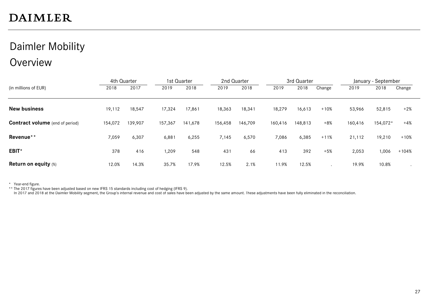#### Daimler Mobility **Overview**

|                                        | 4th Quarter |         | 1st Quarter |         |         | 2nd Quarter |         | 3rd Quarter |        |         | January - September |         |  |
|----------------------------------------|-------------|---------|-------------|---------|---------|-------------|---------|-------------|--------|---------|---------------------|---------|--|
| (in millions of EUR)                   | 2018        | 2017    | 2019        | 2018    | 2019    | 2018        | 2019    | 2018        | Change | 2019    | 2018                | Change  |  |
|                                        |             |         |             |         |         |             |         |             |        |         |                     |         |  |
| <b>New business</b>                    | 19,112      | 18,547  | 17,324      | 17,861  | 18,363  | 18,341      | 18,279  | 16,613      | $+10%$ | 53,966  | 52,815              | $+2%$   |  |
| <b>Contract volume</b> (end of period) | 154,072     | 139,907 | 157,367     | 141,678 | 156,458 | 146,709     | 160,416 | 148,813     | $+8%$  | 160,416 | 154,072*            | $+4%$   |  |
| Revenue**                              | 7,059       | 6,307   | 6,881       | 6,255   | 7,145   | 6,570       | 7,086   | 6,385       | $+11%$ | 21,112  | 19,210              | $+10%$  |  |
| EBIT*                                  | 378         | 416     | 1,209       | 548     | 431     | 66          | 413     | 392         | $+5%$  | 2,053   | 1,006               | $+104%$ |  |
| <b>Return on equity (%)</b>            | 12.0%       | 14.3%   | 35.7%       | 17.9%   | 12.5%   | 2.1%        | 11.9%   | 12.5%       |        | 19.9%   | 10.8%               |         |  |

\* Year-end figure.

\*\* The 2017 figures have been adjusted based on new IFRS 15 standards including cost of hedging (IFRS 9).

In 2017 and 2018 at the Daimler Mobility segment, the Group's internal revenue and cost of sales have been adjusted by the same amount. These adjustments have been fully eliminated in the reconciliation.